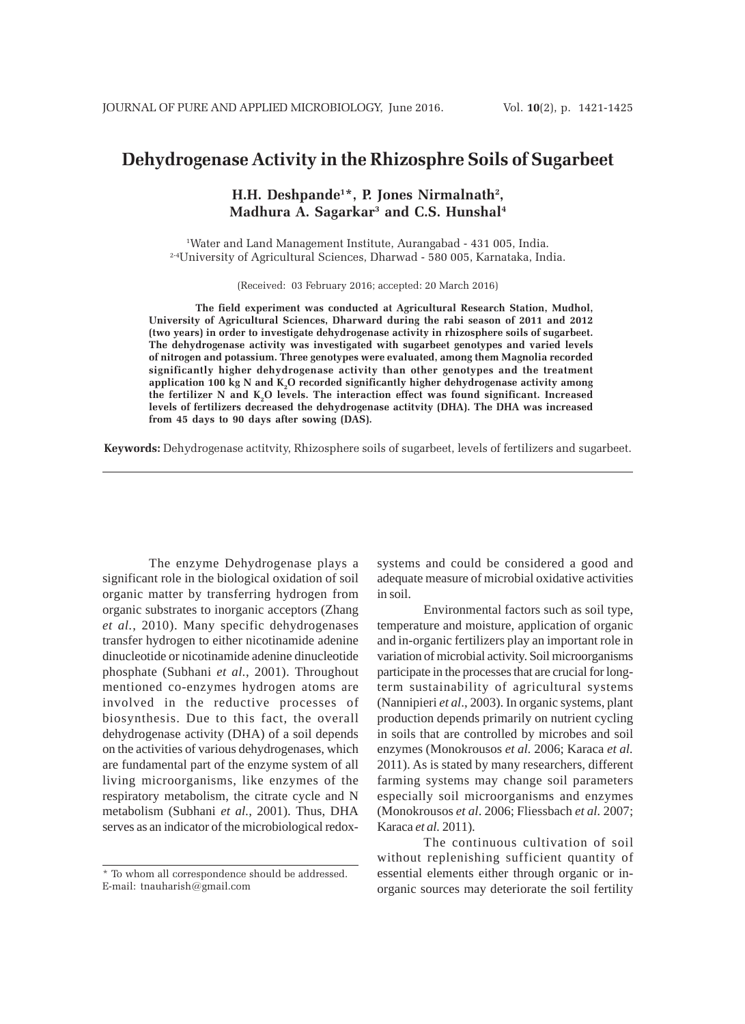# **Dehydrogenase Activity in the Rhizosphre Soils of Sugarbeet**

## **H.H. Deshpande1\*, P. Jones Nirmalnath2 , Madhura A. Sagarkar3 and C.S. Hunshal4**

1 Water and Land Management Institute, Aurangabad - 431 005, India. 2-4University of Agricultural Sciences, Dharwad - 580 005, Karnataka, India.

(Received: 03 February 2016; accepted: 20 March 2016)

**The field experiment was conducted at Agricultural Research Station, Mudhol, University of Agricultural Sciences, Dharward during the rabi season of 2011 and 2012 (two years) in order to investigate dehydrogenase activity in rhizosphere soils of sugarbeet. The dehydrogenase activity was investigated with sugarbeet genotypes and varied levels of nitrogen and potassium. Three genotypes were evaluated, among them Magnolia recorded significantly higher dehydrogenase activity than other genotypes and the treatment application 100 kg N and K2 O recorded significantly higher dehydrogenase activity among** the fertilizer N and K<sub>2</sub>O levels. The interaction effect was found significant. Increased **levels of fertilizers decreased the dehydrogenase actitvity (DHA). The DHA was increased from 45 days to 90 days after sowing (DAS).**

**Keywords:** Dehydrogenase actitvity, Rhizosphere soils of sugarbeet, levels of fertilizers and sugarbeet.

The enzyme Dehydrogenase plays a significant role in the biological oxidation of soil organic matter by transferring hydrogen from organic substrates to inorganic acceptors (Zhang *et al.*, 2010). Many specific dehydrogenases transfer hydrogen to either nicotinamide adenine dinucleotide or nicotinamide adenine dinucleotide phosphate (Subhani *et al.*, 2001). Throughout mentioned co-enzymes hydrogen atoms are involved in the reductive processes of biosynthesis. Due to this fact, the overall dehydrogenase activity (DHA) of a soil depends on the activities of various dehydrogenases, which are fundamental part of the enzyme system of all living microorganisms, like enzymes of the respiratory metabolism, the citrate cycle and N metabolism (Subhani *et al.*, 2001). Thus, DHA serves as an indicator of the microbiological redoxsystems and could be considered a good and adequate measure of microbial oxidative activities in soil.

Environmental factors such as soil type, temperature and moisture, application of organic and in-organic fertilizers play an important role in variation of microbial activity. Soil microorganisms participate in the processes that are crucial for longterm sustainability of agricultural systems (Nannipieri *et al*., 2003). In organic systems, plant production depends primarily on nutrient cycling in soils that are controlled by microbes and soil enzymes (Monokrousos *et al.* 2006; Karaca *et al.* 2011). As is stated by many researchers, different farming systems may change soil parameters especially soil microorganisms and enzymes (Monokrousos *et al*. 2006; Fliessbach *et al.* 2007; Karaca *et al.* 2011).

The continuous cultivation of soil without replenishing sufficient quantity of essential elements either through organic or inorganic sources may deteriorate the soil fertility

<sup>\*</sup> To whom all correspondence should be addressed. E-mail: tnauharish@gmail.com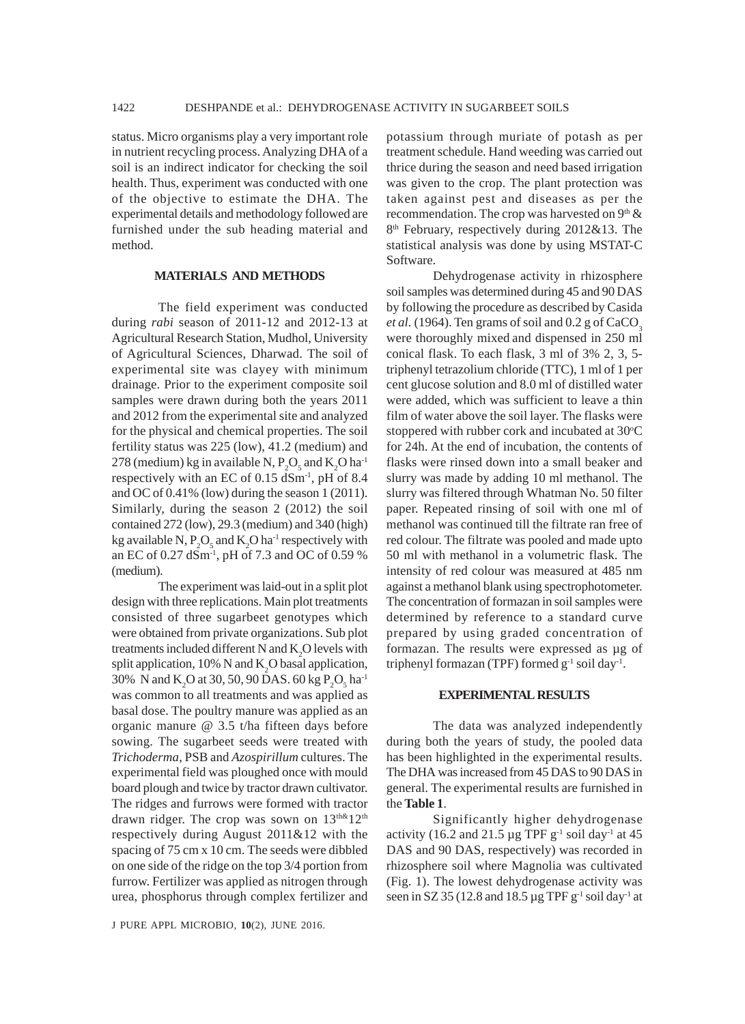status. Micro organisms play a very important role in nutrient recycling process. Analyzing DHA of a soil is an indirect indicator for checking the soil health. Thus, experiment was conducted with one of the objective to estimate the DHA. The experimental details and methodology followed are furnished under the sub heading material and method.

### **MATERIALS AND METHODS**

The field experiment was conducted during *rabi* season of 2011-12 and 2012-13 at Agricultural Research Station, Mudhol, University of Agricultural Sciences, Dharwad. The soil of experimental site was clayey with minimum drainage. Prior to the experiment composite soil samples were drawn during both the years 2011 and 2012 from the experimental site and analyzed for the physical and chemical properties. The soil fertility status was 225 (low), 41.2 (medium) and 278 (medium) kg in available N,  $P_2O_5$  and  $K_2O$  ha<sup>-1</sup> respectively with an EC of  $0.15$  dSm<sup>-1</sup>, pH of 8.4 and OC of 0.41% (low) during the season 1 (2011). Similarly, during the season 2 (2012) the soil contained 272 (low), 29.3 (medium) and 340 (high) kg available N,  $P_2O_5$  and  $K_2O$  ha<sup>-1</sup> respectively with an EC of 0.27 dSm-1, pH of 7.3 and OC of 0.59 % (medium).

The experiment was laid-out in a split plot design with three replications. Main plot treatments consisted of three sugarbeet genotypes which were obtained from private organizations. Sub plot treatments included different N and  $K_2O$  levels with split application, 10% N and  $K_2O$  basal application, 30% N and K<sub>2</sub>O at 30, 50, 90 DAS. 60 kg P<sub>2</sub>O<sub>5</sub> ha<sup>-1</sup> was common to all treatments and was applied as basal dose. The poultry manure was applied as an organic manure @ 3.5 t/ha fifteen days before sowing. The sugarbeet seeds were treated with *Trichoderma*, PSB and *Azospirillum* cultures. The experimental field was ploughed once with mould board plough and twice by tractor drawn cultivator. The ridges and furrows were formed with tractor drawn ridger. The crop was sown on  $13^{\text{th}\&12^{\text{th}}}$ respectively during August 2011&12 with the spacing of 75 cm x 10 cm. The seeds were dibbled on one side of the ridge on the top 3/4 portion from furrow. Fertilizer was applied as nitrogen through urea, phosphorus through complex fertilizer and

J PURE APPL MICROBIO*,* **10**(2), JUNE 2016.

potassium through muriate of potash as per treatment schedule. Hand weeding was carried out thrice during the season and need based irrigation was given to the crop. The plant protection was taken against pest and diseases as per the recommendation. The crop was harvested on  $9<sup>th</sup>$  & 8<sup>th</sup> February, respectively during 2012&13. The statistical analysis was done by using MSTAT-C Software.

Dehydrogenase activity in rhizosphere soil samples was determined during 45 and 90 DAS by following the procedure as described by Casida *et al.* (1964). Ten grams of soil and  $0.2$  g of CaCO<sub>3</sub> were thoroughly mixed and dispensed in 250 ml conical flask. To each flask, 3 ml of 3% 2, 3, 5 triphenyl tetrazolium chloride (TTC), 1 ml of 1 per cent glucose solution and 8.0 ml of distilled water were added, which was sufficient to leave a thin film of water above the soil layer. The flasks were stoppered with rubber cork and incubated at 30°C for 24h. At the end of incubation, the contents of flasks were rinsed down into a small beaker and slurry was made by adding 10 ml methanol. The slurry was filtered through Whatman No. 50 filter paper. Repeated rinsing of soil with one ml of methanol was continued till the filtrate ran free of red colour. The filtrate was pooled and made upto 50 ml with methanol in a volumetric flask. The intensity of red colour was measured at 485 nm against a methanol blank using spectrophotometer. The concentration of formazan in soil samples were determined by reference to a standard curve prepared by using graded concentration of formazan. The results were expressed as µg of triphenyl formazan (TPF) formed  $g^{-1}$  soil day<sup>-1</sup>.

#### **EXPERIMENTAL RESULTS**

The data was analyzed independently during both the years of study, the pooled data has been highlighted in the experimental results. The DHA was increased from 45 DAS to 90 DAS in general. The experimental results are furnished in the **Table 1**.

Significantly higher dehydrogenase activity (16.2 and 21.5  $\mu$ g TPF g<sup>-1</sup> soil day<sup>-1</sup> at 45 DAS and 90 DAS, respectively) was recorded in rhizosphere soil where Magnolia was cultivated (Fig. 1). The lowest dehydrogenase activity was seen in SZ 35 (12.8 and 18.5  $\mu$ g TPF g<sup>-1</sup> soil day<sup>-1</sup> at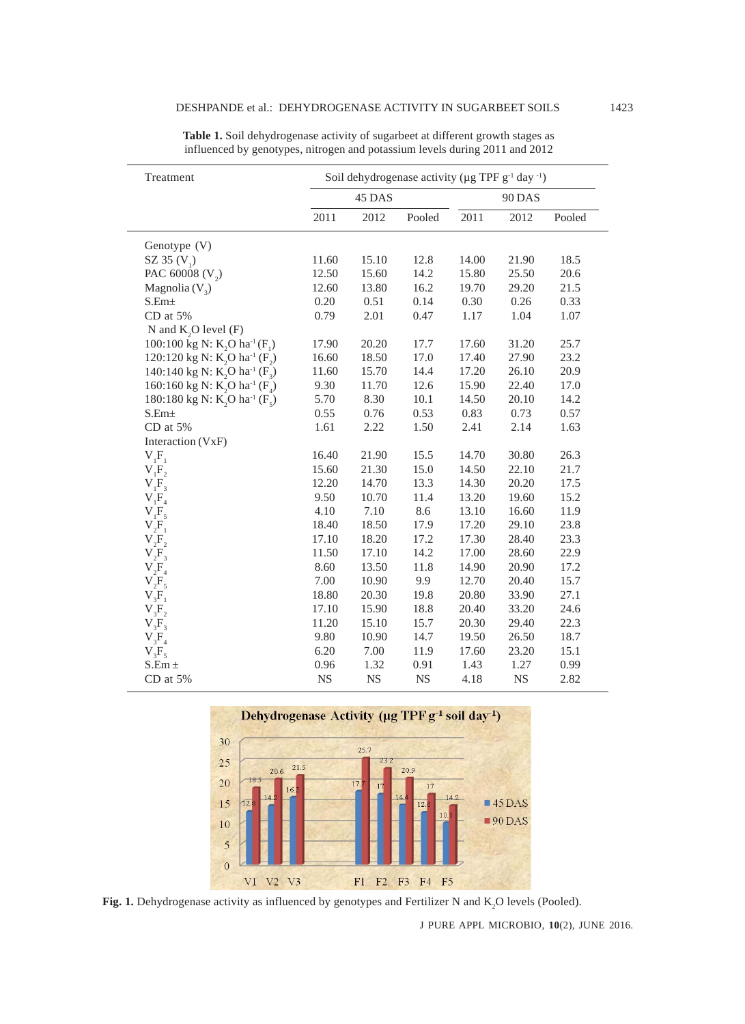| Treatment                                                                 | Soil dehydrogenase activity ( $\mu$ g TPF g <sup>-1</sup> day <sup>-1</sup> ) |           |           |               |           |        |
|---------------------------------------------------------------------------|-------------------------------------------------------------------------------|-----------|-----------|---------------|-----------|--------|
|                                                                           | 45 DAS                                                                        |           |           | <b>90 DAS</b> |           |        |
|                                                                           | 2011                                                                          | 2012      | Pooled    | 2011          | 2012      | Pooled |
| Genotype (V)                                                              |                                                                               |           |           |               |           |        |
| SZ 35 $(V_1)$                                                             | 11.60                                                                         | 15.10     | 12.8      | 14.00         | 21.90     | 18.5   |
| PAC 60008 (V <sub>2</sub> )                                               | 12.50                                                                         | 15.60     | 14.2      | 15.80         | 25.50     | 20.6   |
| Magnolia $(V_2)$                                                          | 12.60                                                                         | 13.80     | 16.2      | 19.70         | 29.20     | 21.5   |
| $S.Em\pm$                                                                 | 0.20                                                                          | 0.51      | 0.14      | 0.30          | 0.26      | 0.33   |
| CD at 5%                                                                  | 0.79                                                                          | 2.01      | 0.47      | 1.17          | 1.04      | 1.07   |
| N and $K$ , O level $(F)$                                                 |                                                                               |           |           |               |           |        |
| 100:100 kg N: K <sub>2</sub> O ha <sup>-1</sup> (F <sub>1</sub> )         | 17.90                                                                         | 20.20     | 17.7      | 17.60         | 31.20     | 25.7   |
| 120:120 kg N: K <sub>2</sub> O ha <sup>-1</sup> (F <sub>2</sub> )         | 16.60                                                                         | 18.50     | 17.0      | 17.40         | 27.90     | 23.2   |
| 140:140 kg N: $K_2$ O ha <sup>-1</sup> ( $F_3$ )                          | 11.60                                                                         | 15.70     | 14.4      | 17.20         | 26.10     | 20.9   |
| 160:160 kg N: K <sub>2</sub> O ha <sup>-1</sup> (F <sub>4</sub> )         | 9.30                                                                          | 11.70     | 12.6      | 15.90         | 22.40     | 17.0   |
| 180:180 kg N: K <sub>2</sub> O ha <sup>-1</sup> (F <sub>5</sub> )         | 5.70                                                                          | 8.30      | 10.1      | 14.50         | 20.10     | 14.2   |
| $S.Em\pm$                                                                 | 0.55                                                                          | 0.76      | 0.53      | 0.83          | 0.73      | 0.57   |
| CD at 5%                                                                  | 1.61                                                                          | 2.22      | 1.50      | 2.41          | 2.14      | 1.63   |
| Interaction (VxF)                                                         |                                                                               |           |           |               |           |        |
| $V_1F_1$                                                                  | 16.40                                                                         | 21.90     | 15.5      | 14.70         | 30.80     | 26.3   |
| $V_1F_2$                                                                  | 15.60                                                                         | 21.30     | 15.0      | 14.50         | 22.10     | 21.7   |
| ${\rm V}^{\phantom{\dagger}}_{\rm 1} {\rm F}^{\phantom{\dagger}}_{\rm 3}$ | 12.20                                                                         | 14.70     | 13.3      | 14.30         | 20.20     | 17.5   |
| $V_1F_4$                                                                  | 9.50                                                                          | 10.70     | 11.4      | 13.20         | 19.60     | 15.2   |
| $V_1F_5$                                                                  | 4.10                                                                          | 7.10      | 8.6       | 13.10         | 16.60     | 11.9   |
| $V_2F_1$                                                                  | 18.40                                                                         | 18.50     | 17.9      | 17.20         | 29.10     | 23.8   |
| $V_2F_2$                                                                  | 17.10                                                                         | 18.20     | 17.2      | 17.30         | 28.40     | 23.3   |
| $V_2F_3$                                                                  | 11.50                                                                         | 17.10     | 14.2      | 17.00         | 28.60     | 22.9   |
| $V_2F_4$                                                                  | 8.60                                                                          | 13.50     | 11.8      | 14.90         | 20.90     | 17.2   |
| $V_2F_5$                                                                  | 7.00                                                                          | 10.90     | 9.9       | 12.70         | 20.40     | 15.7   |
| $V_{3}F_{1}$                                                              | 18.80                                                                         | 20.30     | 19.8      | 20.80         | 33.90     | 27.1   |
| $V_3F_2$                                                                  | 17.10                                                                         | 15.90     | 18.8      | 20.40         | 33.20     | 24.6   |
| $V_3F_3$                                                                  | 11.20                                                                         | 15.10     | 15.7      | 20.30         | 29.40     | 22.3   |
| $V_{3}F_{4}$                                                              | 9.80                                                                          | 10.90     | 14.7      | 19.50         | 26.50     | 18.7   |
| $V_3F_5$                                                                  | 6.20                                                                          | 7.00      | 11.9      | 17.60         | 23.20     | 15.1   |
| $S.Em \pm$                                                                | 0.96                                                                          | 1.32      | 0.91      | 1.43          | 1.27      | 0.99   |
| CD at 5%                                                                  | NS                                                                            | <b>NS</b> | <b>NS</b> | 4.18          | <b>NS</b> | 2.82   |

**Table 1.** Soil dehydrogenase activity of sugarbeet at different growth stages as influenced by genotypes, nitrogen and potassium levels during 2011 and 2012



Fig. 1. Dehydrogenase activity as influenced by genotypes and Fertilizer N and K<sub>2</sub>O levels (Pooled).

J PURE APPL MICROBIO*,* **10**(2), JUNE 2016.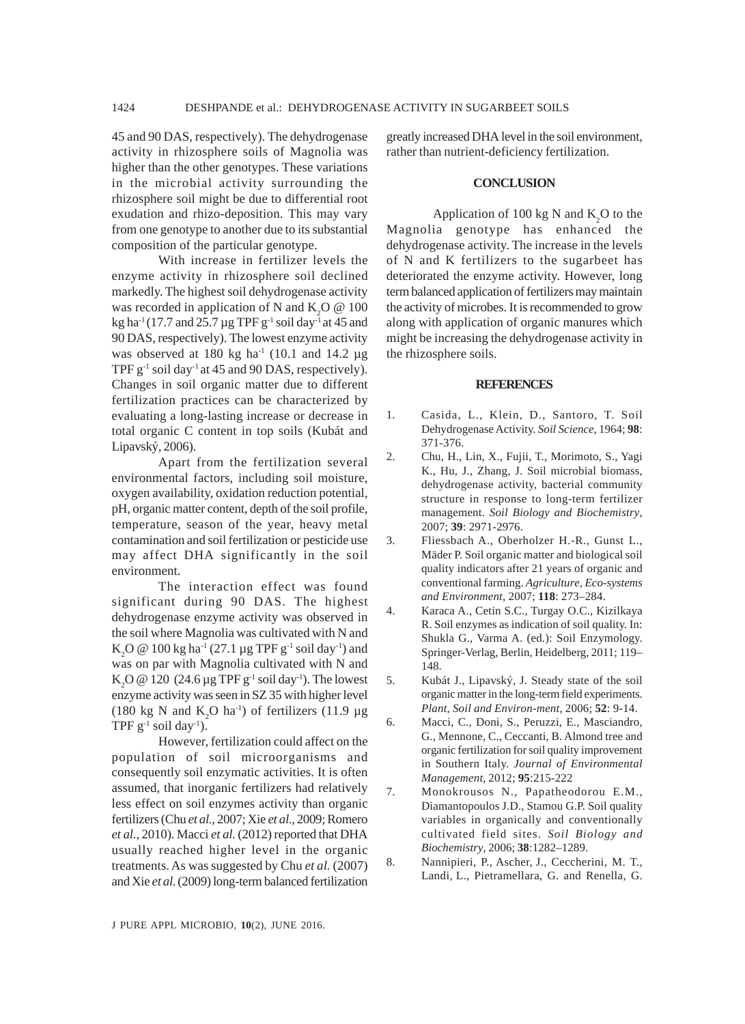45 and 90 DAS, respectively). The dehydrogenase activity in rhizosphere soils of Magnolia was higher than the other genotypes. These variations in the microbial activity surrounding the rhizosphere soil might be due to differential root exudation and rhizo-deposition. This may vary from one genotype to another due to its substantial composition of the particular genotype.

With increase in fertilizer levels the enzyme activity in rhizosphere soil declined markedly. The highest soil dehydrogenase activity was recorded in application of N and  $K_2O \tQ 100$ kg ha<sup>-1</sup> (17.7 and 25.7 µg TPF  $g^{-1}$  soil day<sup>-1</sup> at 45 and 90 DAS, respectively). The lowest enzyme activity was observed at 180 kg ha<sup>-1</sup> (10.1 and 14.2  $\mu$ g TPF  $g^{-1}$  soil day<sup>-1</sup> at 45 and 90 DAS, respectively). Changes in soil organic matter due to different fertilization practices can be characterized by evaluating a long-lasting increase or decrease in total organic C content in top soils (Kubát and Lipavský, 2006).

Apart from the fertilization several environmental factors, including soil moisture, oxygen availability, oxidation reduction potential, pH, organic matter content, depth of the soil profile, temperature, season of the year, heavy metal contamination and soil fertilization or pesticide use may affect DHA significantly in the soil environment.

The interaction effect was found significant during 90 DAS. The highest dehydrogenase enzyme activity was observed in the soil where Magnolia was cultivated with N and  $\mathrm{K}_2\mathrm{O}\ \textcircled{a} \ 100 \ \mathrm{kg} \ \mathrm{ha}^{-1} \ (27.1 \ \mu \mathrm{g} \ \mathrm{TPF} \ \mathrm{g}^{-1} \ \mathrm{soil} \ \mathrm{day}^{-1} \ )$  and was on par with Magnolia cultivated with N and K<sub>2</sub>O @ 120 (24.6 µg TPF g<sup>-1</sup> soil day<sup>-1</sup>). The lowest enzyme activity was seen in SZ 35 with higher level (180 kg N and  $K_2O$  ha<sup>-1</sup>) of fertilizers (11.9 µg TPF  $g^{-1}$  soil day<sup>-1</sup>).

However, fertilization could affect on the population of soil microorganisms and consequently soil enzymatic activities. It is often assumed, that inorganic fertilizers had relatively less effect on soil enzymes activity than organic fertilizers (Chu *et al.*, 2007; Xie *et al.*, 2009; Romero *et al.*, 2010). Macci *et al.* (2012) reported that DHA usually reached higher level in the organic treatments. As was suggested by Chu *et al.* (2007) and Xie *et al.* (2009) long-term balanced fertilization

greatly increased DHA level in the soil environment, rather than nutrient-deficiency fertilization.

#### **CONCLUSION**

Application of 100 kg N and  $K_2$ O to the Magnolia genotype has enhanced the dehydrogenase activity. The increase in the levels of N and K fertilizers to the sugarbeet has deteriorated the enzyme activity. However, long term balanced application of fertilizers may maintain the activity of microbes. It is recommended to grow along with application of organic manures which might be increasing the dehydrogenase activity in the rhizosphere soils.

#### **REFERENCES**

- 1. Casida, L., Klein, D., Santoro, T. Soil Dehydrogenase Activity. *Soil Science*, 1964; **98**: 371-376.
- 2. Chu, H., Lin, X., Fujii, T., Morimoto, S., Yagi K., Hu, J., Zhang, J. Soil microbial biomass, dehydrogenase activity, bacterial community structure in response to long-term fertilizer management. *Soil Biology and Biochemistry*, 2007; **39**: 2971-2976.
- 3. Fliessbach A., Oberholzer H.-R., Gunst L., Mäder P. Soil organic matter and biological soil quality indicators after 21 years of organic and conventional farming. *Agriculture, Eco-systems and Environment*, 2007; **118**: 273–284.
- 4. Karaca A., Cetin S.C., Turgay O.C., Kizilkaya R. Soil enzymes as indication of soil quality. In: Shukla G., Varma A. (ed.): Soil Enzymology. Springer-Verlag, Berlin, Heidelberg, 2011; 119– 148.
- 5. Kubát J., Lipavský, J. Steady state of the soil organic matter in the long-term field experiments. *Plant, Soil and Environ-ment*, 2006; **52**: 9-14.
- 6. Macci, C., Doni, S., Peruzzi, E., Masciandro, G., Mennone, C., Ceccanti, B. Almond tree and organic fertilization for soil quality improvement in Southern Italy. *Journal of Environmental Management*, 2012; **95**:215-222
- 7. Monokrousos N., Papatheodorou E.M., Diamantopoulos J.D., Stamou G.P. Soil quality variables in organically and conventionally cultivated field sites. *Soil Biology and Biochemistry*, 2006; **38**:1282–1289.
- 8. Nannipieri, P., Ascher, J., Ceccherini, M. T., Landi, L., Pietramellara, G. and Renella, G.